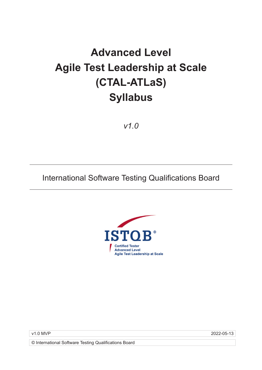# **Advanced Level Agile Test Leadership at Scale (CTAL-ATLaS) Syllabus**

*v1.0*

# International Software Testing Qualifications Board



v1.0 MVP 2022-05-13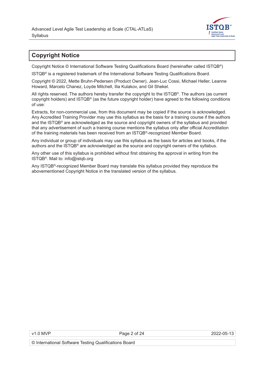

# <span id="page-1-0"></span>**Copyright Notice**

Copyright Notice © International Software Testing Qualifications Board (hereinafter called ISTQB®)

ISTQB® is a registered trademark of the International Software Testing Qualifications Board.

Copyright © 2022, Mette Bruhn-Pedersen (Product Owner), Jean-Luc Cossi, Michael Heller, Leanne Howard, Marcelo Chanez, Loyde Mitchell, Ilia Kulakov, and Gil Shekel.

All rights reserved. The authors hereby transfer the copyright to the ISTQB®. The authors (as current copyright holders) and ISTQB® (as the future copyright holder) have agreed to the following conditions of use:

Extracts, for non-commercial use, from this document may be copied if the source is acknowledged. Any Accredited Training Provider may use this syllabus as the basis for a training course if the authors and the ISTQB® are acknowledged as the source and copyright owners of the syllabus and provided that any advertisement of such a training course mentions the syllabus only after official Accreditation of the training materials has been received from an ISTQB®-recognized Member Board.

Any individual or group of individuals may use this syllabus as the basis for articles and books, if the authors and the ISTQB® are acknowledged as the source and copyright owners of the syllabus.

Any other use of this syllabus is prohibited without first obtaining the approval in writing from the ISTQB®. Mail to: info@istqb.org

Any ISTQB®-recognized Member Board may translate this syllabus provided they reproduce the abovementioned Copyright Notice in the translated version of the syllabus.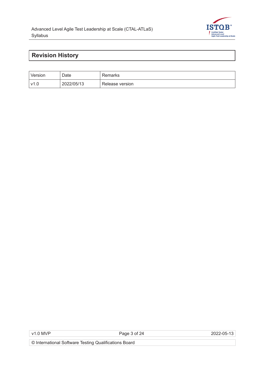

# <span id="page-2-0"></span>**Revision History**

| Version | Date       | Remarks         |
|---------|------------|-----------------|
| v1.0    | 2022/05/13 | Release version |

v1.0 MVP Page 3 of 24 2022-05-13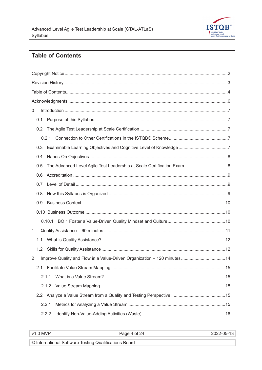

# **Table of Contents**

| 0 |     |       |                                                                         |  |  |
|---|-----|-------|-------------------------------------------------------------------------|--|--|
|   | 0.1 |       |                                                                         |  |  |
|   | 0.2 |       |                                                                         |  |  |
|   |     |       |                                                                         |  |  |
|   | 0.3 |       |                                                                         |  |  |
|   | 0.4 |       |                                                                         |  |  |
|   | 0.5 |       |                                                                         |  |  |
|   | 0.6 |       |                                                                         |  |  |
|   | 0.7 |       |                                                                         |  |  |
|   | 0.8 |       |                                                                         |  |  |
|   | 0.9 |       |                                                                         |  |  |
|   |     |       |                                                                         |  |  |
|   |     |       |                                                                         |  |  |
| 1 |     |       |                                                                         |  |  |
|   | 1.1 |       |                                                                         |  |  |
|   | 1.2 |       |                                                                         |  |  |
| 2 |     |       | Improve Quality and Flow in a Value-Driven Organization - 120 minutes14 |  |  |
|   |     |       |                                                                         |  |  |
|   |     | 2.1.1 |                                                                         |  |  |
|   |     | 2.1.2 |                                                                         |  |  |
|   |     |       |                                                                         |  |  |
|   |     | 2.2.1 |                                                                         |  |  |
|   |     | 2.2.2 |                                                                         |  |  |
|   |     |       |                                                                         |  |  |

| MVD<br>$\sqrt{1}$<br>. | ו כ<br>ັ | _____ |
|------------------------|----------|-------|
|                        |          |       |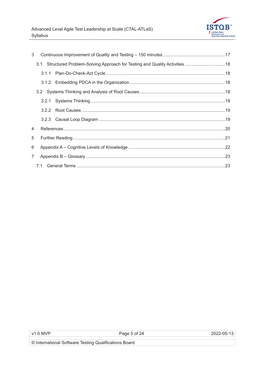

| 3              |  |  |                                                                               |  |
|----------------|--|--|-------------------------------------------------------------------------------|--|
|                |  |  | 3.1 Structured Problem-Solving Approach for Testing and Quality Activities 18 |  |
|                |  |  |                                                                               |  |
|                |  |  |                                                                               |  |
|                |  |  |                                                                               |  |
|                |  |  |                                                                               |  |
|                |  |  |                                                                               |  |
|                |  |  |                                                                               |  |
| $\overline{4}$ |  |  |                                                                               |  |
| 5              |  |  |                                                                               |  |
| 6              |  |  |                                                                               |  |
| $7^{\circ}$    |  |  |                                                                               |  |
|                |  |  |                                                                               |  |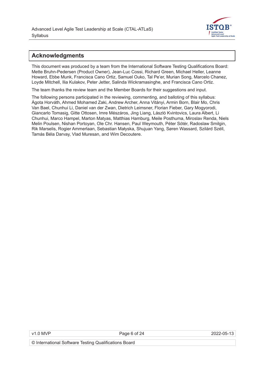

## <span id="page-5-0"></span>**Acknowledgments**

This document was produced by a team from the International Software Testing Qualifications Board: Mette Bruhn-Pedersen (Product Owner), Jean-Luc Cossi, Richard Green, Michael Heller, Leanne Howard, Ebbe Munk, Francisca Cano Ortiz, Samuel Ouko, Tal Pe'er, Murian Song, Marcelo Chanez, Loyde Mitchell, Ilia Kulakov, Peter Jetter, Salinda Wickramasinghe, and Francisca Cano Ortiz.

The team thanks the review team and the Member Boards for their suggestions and input.

The following persons participated in the reviewing, commenting, and balloting of this syllabus: Ágota Horváth, Ahmed Mohamed Zaki, Andrew Archer, Anna Vitányi, Armin Born, Blair Mo, Chris Van Bael, Chunhui Li, Daniel van der Zwan, Dietrich Leimsner, Florian Fieber, Gary Mogyorodi, Giancarlo Tomasig, Gitte Ottosen, Imre Mészáros, Jing Liang, László Kvintovics, Laura Albert, Li Chunhui, Marco Hampel, Marton Matyas, Matthias Hamburg, Meile Posthuma, Miroslav Renda, Niels Melin Poulsen, Nishan Portoyan, Ole Chr. Hansen, Paul Weymouth, Péter Sótér, Radoslaw Smilgin, Rik Marselis, Rogier Ammerlaan, Sebastian Małyska, Shujuan Yang, Søren Wassard, Szilárd Széll, Tamás Béla Darvay, Vlad Muresan, and Wim Decoutere.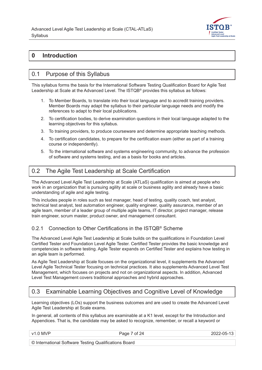

# <span id="page-6-0"></span>**0 Introduction**

## 0.1 Purpose of this Syllabus

This syllabus forms the basis for the International Software Testing Qualification Board for Agile Test Leadership at Scale at the Advanced Level. The ISTQB<sup>®</sup> provides this syllabus as follows:

- 1. To Member Boards, to translate into their local language and to accredit training providers. Member Boards may adapt the syllabus to their particular language needs and modify the references to adapt to their local publications.
- 2. To certification bodies, to derive examination questions in their local language adapted to the learning objectives for this syllabus.
- 3. To training providers, to produce courseware and determine appropriate teaching methods.
- 4. To certification candidates, to prepare for the certification exam (either as part of a training course or independently).
- 5. To the international software and systems engineering community, to advance the profession of software and systems testing, and as a basis for books and articles.

# 0.2 The Agile Test Leadership at Scale Certification

The Advanced Level Agile Test Leadership at Scale (ATLaS) qualification is aimed at people who work in an organization that is pursuing agility at scale or business agility and already have a basic understanding of agile and agile testing.

This includes people in roles such as test manager, head of testing, quality coach, test analyst, technical test analyst, test automation engineer, quality engineer, quality assurance, member of an agile team, member of a leader group of multiple agile teams, IT director, project manager, release train engineer, scrum master, product owner, and management consultant.

#### 0.2.1 Connection to Other Certifications in the ISTQB<sup>®</sup> Scheme

The Advanced Level Agile Test Leadership at Scale builds on the qualifications in Foundation Level Certified Tester and Foundation Level Agile Tester. Certified Tester provides the basic knowledge and competencies in software testing. Agile Tester expands on Certified Tester and explains how testing in an agile team is performed.

As Agile Test Leadership at Scale focuses on the organizational level, it supplements the Advanced Level Agile Technical Tester focusing on technical practices. It also supplements Advanced Level Test Management, which focuses on projects and not on organizational aspects. In addition, Advanced Level Test Management covers traditional approaches and hybrid approaches.

# 0.3 Examinable Learning Objectives and Cognitive Level of Knowledge

Learning objectives (LOs) support the business outcomes and are used to create the Advanced Level Agile Test Leadership at Scale exams.

In general, all contents of this syllabus are examinable at a K1 level, except for the Introduction and Appendices. That is, the candidate may be asked to recognize, remember, or recall a keyword or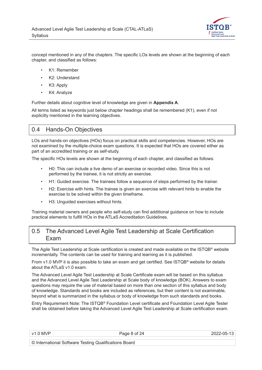

<span id="page-7-0"></span>concept mentioned in any of the chapters. The specific LOs levels are shown at the beginning of each chapter, and classified as follows:

- K1: Remember
- K2: Understand
- K3: Apply
- K4: Analyze

Further details about cognitive level of knowledge are given in **[Appendix A](#page-21-0)**.

All terms listed as keywords just below chapter headings shall be remembered (K1), even if not explicitly mentioned in the learning objectives.

## 0.4 Hands-On Objectives

LOs and hands-on objectives (HOs) focus on practical skills and competencies. However, HOs are not examined by the multiple-choice exam questions. It is expected that HOs are covered either as part of an accredited training or as self-study.

The specific HOs levels are shown at the beginning of each chapter, and classified as follows:

- H0: This can include a live demo of an exercise or recorded video. Since this is not performed by the trainee, it is not strictly an exercise.
- H1: Guided exercise. The trainees follow a sequence of steps performed by the trainer.
- H2: Exercise with hints. The trainee is given an exercise with relevant hints to enable the exercise to be solved within the given timeframe.
- H3: Unguided exercises without hints.

Training material owners and people who self-study can find additional guidance on how to include practical elements to fulfill HOs in the ATLaS Accreditation Guidelines.

#### 0.5 The Advanced Level Agile Test Leadership at Scale Certification Exam

The Agile Test Leadership at Scale certification is created and made available on the ISTQB® website incrementally. The contents can be used for training and learning as it is published.

From v1.0 MVP it is also possible to take an exam and get certified. See ISTQB® website for details about the [ATLaS v1.0 exam](https://www.istqb.org/certifications/agile-test-leadership-at-scale).

The Advanced Level Agile Test Leadership at Scale Certificate exam will be based on this syllabus and the Advanced Level Agile Test Leadership at Scale body of knowledge (BOK). Answers to exam questions may require the use of material based on more than one section of this syllabus and body of knowledge. Standards and books are included as references, but their content is not examinable, beyond what is summarized in the syllabus or body of knowledge from such standards and books.

Entry Requirement Note: The ISTQB*®* Foundation Level certificate and Foundation Level Agile Tester shall be obtained before taking the Advanced Level Agile Test Leadership at Scale certification exam.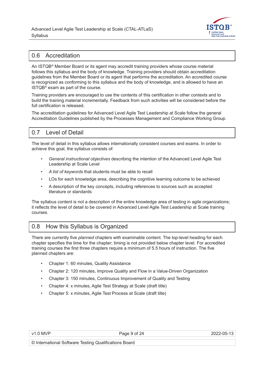

# <span id="page-8-0"></span>0.6 Accreditation

An ISTQB*®* Member Board or its agent may accredit training providers whose course material follows this syllabus and the body of knowledge. Training providers should obtain accreditation guidelines from the Member Board or its agent that performs the accreditation. An accredited course is recognized as conforming to this syllabus and the body of knowledge, and is allowed to have an ISTQB*®* exam as part of the course.

Training providers are encouraged to use the contents of this certification in other contexts and to build the training material incrementally. Feedback from such activities will be considered before the full certification is released.

The accreditation guidelines for Advanced Level Agile Test Leadership at Scale follow the general Accreditation Guidelines published by the Processes Management and Compliance Working Group.

# 0.7 Level of Detail

The level of detail in this syllabus allows internationally consistent courses and exams. In order to achieve this goal, the syllabus consists of:

- *General instructional objectives* describing the intention of the Advanced Level Agile Test Leadership at Scale Level
- *A list of keywords* that students must be able to recall
- LOs for each knowledge area, describing the cognitive learning outcome to be achieved
- A description of the key concepts, including references to sources such as accepted literature or standards

The syllabus content is not a description of the entire knowledge area of testing in agile organizations; it reflects the level of detail to be covered in Advanced Level Agile Test Leadership at Scale training courses.

# 0.8 How this Syllabus is Organized

There are currently five *planned* chapters with examinable content. The top-level heading for each chapter specifies the time for the chapter; timing is not provided below chapter level*.* For accredited training courses the first three chapters require a minimum of 5.5 hours of instruction. The five planned chapters are:

- Chapter 1: 60 minutes, Quality Assistance
- Chapter 2: 120 minutes, Improve Quality and Flow in a Value-Driven Organization
- Chapter 3: 150 minutes, Continuous Improvement of Quality and Testing
- Chapter 4: x minutes, Agile Test Strategy at Scale (draft title)
- Chapter 5: x minutes, Agile Test Process at Scale (draft title)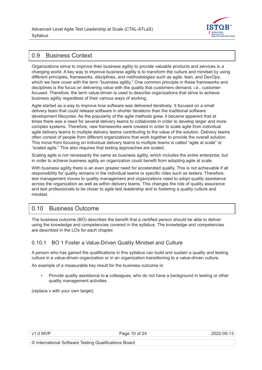

# <span id="page-9-0"></span>0.9 Business Context

Organizations strive to improve their business agility to provide valuable products and services in a changing world. A key way to improve business agility is to transform the culture and mindset by using different principles, frameworks, disciplines, and methodologies such as agile, lean, and DevOps, which we here cover with the term "business agility." One common principle in these frameworks and disciplines is the focus on delivering value with the quality that customers demand, i.e., customerfocused. Therefore, the term value-driven is used to describe organizations that strive to achieve business agility regardless of their various ways of working.

Agile started as a way to improve how software was delivered iteratively. It focused on a small delivery team that could release software in shorter iterations than the traditional software development lifecycles. As the popularity of the agile methods grew, it became apparent that at times there was a need for several delivery teams to collaborate in order to develop larger and more complex systems. Therefore, new frameworks were created in order to scale agile from individual agile delivery teams to multiple delivery teams contributing to the value of the solution. Delivery teams often consist of people from different organizations that work together to provide the overall solution. This move from focusing on individual delivery teams to multiple teams is called "agile at scale" or "scaled agile." This also requires that testing approaches are scaled.

Scaling agile is not necessarily the same as business agility, which includes the entire enterprise, but in order to achieve business agility an organization could benefit from adopting agile at scale.

With business agility there is an even greater need for accelerated quality. This is not achievable if all responsibility for quality remains in the individual teams or specific roles such as testers. Therefore, test management moves to quality management and organizations need to adopt quality assistance across the organization as well as within delivery teams. This changes the role of quality assurance and test professionals to be closer to agile test leadership and to fostering a quality culture and mindset.

# 0.10 Business Outcome

The business outcome (BO) describes the benefit that a certified person should be able to deliver using the knowledge and competencies covered in the syllabus. The knowledge and competencies are described in the LOs for each chapter.

#### 0.10.1 BO 1 Foster a Value-Driven Quality Mindset and Culture

A person who has gained the qualifications in this syllabus can build and sustain a quality and testing culture in a value-driven organization or in an organization transitioning to a value-driven culture.

An example of a measurable key result for the business outcome is:

• Provide quality assistance to **x** colleagues, who do not have a background in testing or other quality management activities

(replace x with your own target).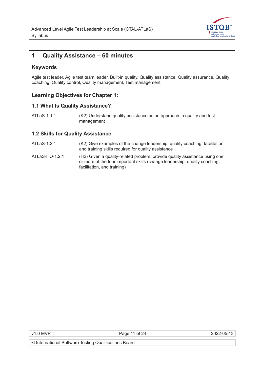

## <span id="page-10-0"></span>**1 Quality Assistance – 60 minutes**

#### **Keywords**

Agile test leader, Agile test team leader, Built-in quality, Quality assistance, Quality assurance, Quality coaching, Quality control, Quality management, Test management

#### **Learning Objectives for Chapter 1:**

#### **1.1 What Is Quality Assistance?**

ATLaS-1.1.1 (K2) Understand quality assistance as an approach to quality and test management

#### **1.2 Skills for Quality Assistance**

- ATLaS-1.2.1 (K2) Give examples of the change leadership, quality coaching, facilitation, and training skills required for quality assistance
- ATLaS-HO-1.2.1(H2) Given a quality-related problem, provide quality assistance using one or more of the four important skills (change leadership, quality coaching, facilitation, and training)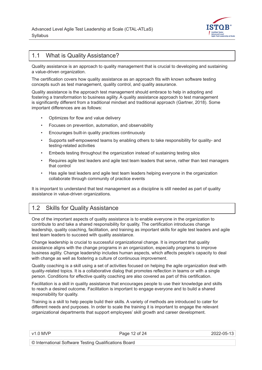

# <span id="page-11-0"></span>1.1 What is Quality Assistance?

Quality assistance is an approach to quality management that is crucial to developing and sustaining a value-driven organization.

The certification covers how quality assistance as an approach fits with known software testing concepts such as test management, quality control, and quality assurance.

Quality assistance is the approach test management should embrace to help in adopting and fostering a transformation to business agility. A quality assistance approach to test management is significantly different from a traditional mindset and traditional approach [\(Gartner, 2018\)](#page-19-0). Some important differences are as follows:

- Optimizes for flow and value delivery
- Focuses on prevention, automation, and observability
- Encourages built-in quality practices continuously
- Supports self-empowered teams by enabling others to take responsibility for quality- and testing-related activities
- Embeds testing throughout the organization instead of sustaining testing silos
- Requires agile test leaders and agile test team leaders that serve, rather than test managers that control
- Has agile test leaders and agile test team leaders helping everyone in the organization collaborate through community of practice events

It is important to understand that test management as a discipline is still needed as part of quality assistance in value-driven organizations.

#### 1.2 Skills for Quality Assistance

One of the important aspects of quality assistance is to enable everyone in the organization to contribute to and take a shared responsibility for quality. The certification introduces change leadership, quality coaching, facilitation, and training as important skills for agile test leaders and agile test team leaders to succeed with quality assistance.

Change leadership is crucial to successful organizational change. It is important that quality assistance aligns with the change programs in an organization, especially programs to improve business agility. Change leadership includes human aspects, which affects people's capacity to deal with change as well as fostering a culture of continuous improvement.

Quality coaching is a skill using a set of activities focused on helping the agile organization deal with quality-related topics. It is a collaborative dialog that promotes reflection in teams or with a single person. Conditions for effective quality coaching are also covered as part of this certification.

Facilitation is a skill in quality assistance that encourages people to use their knowledge and skills to reach a desired outcome. Facilitation is important to engage everyone and to build a shared responsibility for quality.

Training is a skill to help people build their skills. A variety of methods are introduced to cater for different needs and purposes. In order to scale the training it is important to engage the relevant organizational departments that support employees' skill growth and career development.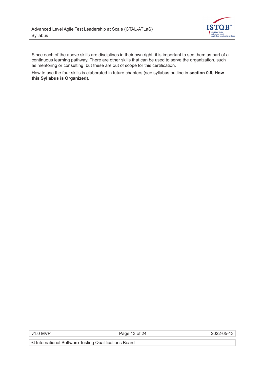

Since each of the above skills are disciplines in their own right, it is important to see them as part of a continuous learning pathway. There are other skills that can be used to serve the organization, such as mentoring or consulting, but these are out of scope for this certification.

How to use the four skills is elaborated in future chapters (see syllabus outline in **[section 0.8, How](#page-8-0)  [this Syllabus is Organized](#page-8-0)**).

v1.0 MVP Page 13 of 24 2022-05-13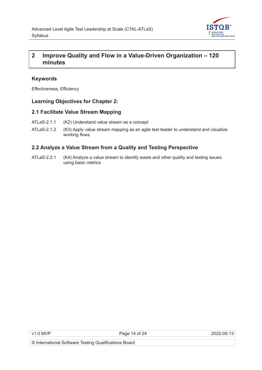

# <span id="page-13-0"></span>**2 Improve Quality and Flow in a Value-Driven Organization – 120 minutes**

#### **Keywords**

Effectiveness, Efficiency

#### **Learning Objectives for Chapter 2:**

#### **2.1 Facilitate Value Stream Mapping**

- ATLaS-2.1.1 (K2) Understand value stream as a concept
- ATLaS-2.1.2 (K3) Apply value stream mapping as an agile test leader to understand and visualize working flows

#### **2.2 Analyze a Value Stream from a Quality and Testing Perspective**

ATLaS-2.2.1 (K4) Analyze a value stream to identify waste and other quality and testing issues using basic metrics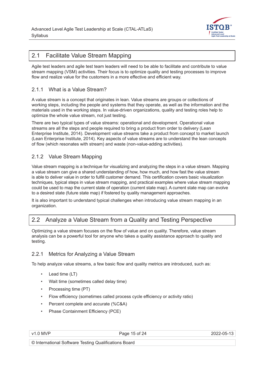

## <span id="page-14-0"></span>2.1 Facilitate Value Stream Mapping

Agile test leaders and agile test team leaders will need to be able to facilitate and contribute to value stream mapping (VSM) activities. Their focus is to optimize quality and testing processes to improve flow and realize value for the customers in a more effective and efficient way.

#### 2.1.1 What is a Value Stream?

A value stream is a concept that originates in lean. Value streams are groups or collections of working steps, including the people and systems that they operate, as well as the information and the materials used in the working steps. In value-driven organizations, quality and testing roles help to optimize the whole value stream, not just testing.

There are two typical types of value streams: operational and development. Operational value streams are all the steps and people required to bring a product from order to delivery [\(Lean](#page-19-0)  [Enterprise Institute, 2014](#page-19-0)). Development value streams take a product from concept to market launch [\(Lean Enterprise Institute, 2014\)](#page-19-0). Key aspects of value streams are to understand the lean concepts of flow (which resonates with stream) and waste (non-value-adding activities).

#### 2.1.2 Value Stream Mapping

Value stream mapping is a technique for visualizing and analyzing the steps in a value stream. Mapping a value stream can give a shared understanding of how, how much, and how fast the value stream is able to deliver value in order to fulfill customer demand. This certification covers basic visualization techniques, typical steps in value stream mapping, and practical examples where value stream mapping could be used to map the current state of operation (current state map). A current state map can evolve to a desired state (future state map) if fostered by quality management approaches.

It is also important to understand typical challenges when introducing value stream mapping in an organization.

# 2.2 Analyze a Value Stream from a Quality and Testing Perspective

Optimizing a value stream focuses on the flow of value and on quality. Therefore, value stream analysis can be a powerful tool for anyone who takes a quality assistance approach to quality and testing.

#### 2.2.1 Metrics for Analyzing a Value Stream

To help analyze value streams, a few basic flow and quality metrics are introduced, such as:

- Lead time (LT)
- Wait time (sometimes called delay time)
- Processing time (PT)
- Flow efficiency (sometimes called process cycle efficiency or activity ratio)
- Percent complete and accurate (%C&A)
- Phase Containment Efficiency (PCE)

Page 15 of 24 2022-05-13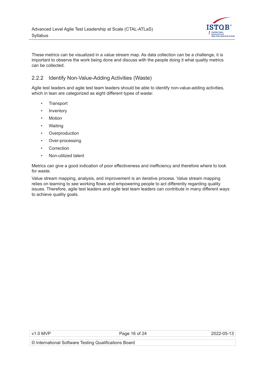

<span id="page-15-0"></span>These metrics can be visualized in a value stream map. As data collection can be a challenge, it is important to observe the work being done and discuss with the people doing it what quality metrics can be collected.

#### 2.2.2 Identify Non-Value-Adding Activities (Waste)

Agile test leaders and agile test team leaders should be able to identify non-value-adding activities, which in lean are categorized as eight different types of waste:

- Transport
- **Inventory**
- **Motion**
- Waiting
- **Overproduction**
- Over-processing
- **Correction**
- Non-utilized talent

Metrics can give a good indication of poor effectiveness and inefficiency and therefore where to look for waste.

Value stream mapping, analysis, and improvement is an iterative process. Value stream mapping relies on learning to see working flows and empowering people to act differently regarding quality issues. Therefore, agile test leaders and agile test team leaders can contribute in many different ways to achieve quality goals.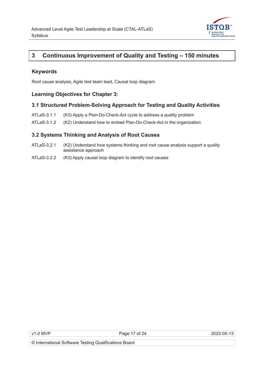

# <span id="page-16-0"></span>**3 Continuous Improvement of Quality and Testing – 150 minutes**

#### **Keywords**

Root cause analysis, Agile test team lead, Causal loop diagram

#### **Learning Objectives for Chapter 3:**

#### **3.1 Structured Problem-Solving Approach for Testing and Quality Activities**

- ATLaS-3.1.1 (K3) Apply a Plan-Do-Check-Act cycle to address a quality problem
- ATLaS-3.1.2 (K2) Understand how to embed Plan-Do-Check-Act in the organization

#### **3.2 Systems Thinking and Analysis of Root Causes**

- ATLaS-3.2.1 (K2) Understand how systems thinking and root cause analysis support a quality assistance approach
- ATLaS-3.2.2 (K3) Apply causal loop diagram to identify root causes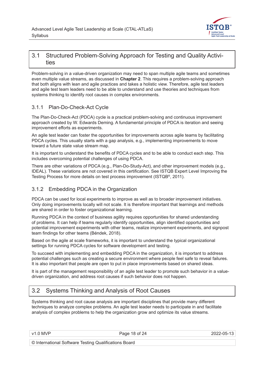

# <span id="page-17-0"></span>3.1 Structured Problem-Solving Approach for Testing and Quality Activities

Problem-solving in a value-driven organization may need to span multiple agile teams and sometimes even multiple value streams, as discussed in **[Chapter 2](#page-13-0)**. This requires a problem-solving approach that both aligns with lean and agile practices and takes a holistic view. Therefore, agile test leaders and agile test team leaders need to be able to understand and use theories and techniques from systems thinking to identify root causes in complex environments.

#### 3.1.1 Plan-Do-Check-Act Cycle

The Plan-Do-Check-Act (PDCA) cycle is a practical problem-solving and continuous improvement approach created by W. Edwards Deming. A fundamental principle of PDCA is iteration and seeing improvement efforts as experiments.

An agile test leader can foster the opportunities for improvements across agile teams by facilitating PDCA cycles. This usually starts with a gap analysis, e.g., implementing improvements to move toward a future state value stream map.

It is important to understand the benefits of PDCA cycles and to be able to conduct each step. This includes overcoming potential challenges of using PDCA.

There are other variations of PDCA (e.g., Plan-Do-Study-Act), and other improvement models (e.g., IDEAL). These variations are not covered in this certification. See ISTQB Expert Level Improving the Testing Process for more details on test process improvement (ISTQB[®, 2011\)](#page-19-0).

#### 3.1.2 Embedding PDCA in the Organization

PDCA can be used for local experiments to improve as well as to broader improvement initiatives. Only doing improvements locally will not scale. It is therefore important that learnings and methods are shared in order to foster organizational learning.

Running PDCA in the context of business agility requires opportunities for shared understanding of problems. It can help if teams regularly identify opportunities, align identified opportunities and potential improvement experiments with other teams, realize improvement experiments, and signpost team findings for other teams ([Béndek, 2018](#page-19-0)).

Based on the agile at scale frameworks, it is important to understand the typical organizational settings for running PDCA cycles for software development and testing.

To succeed with implementing and embedding PDCA in the organization, it is important to address potential challenges such as creating a secure environment where people feel safe to reveal failures. It is also important that people are open to put in place improvements based on shared ideas.

It is part of the management responsibility of an agile test leader to promote such behavior in a valuedriven organization, and address root causes if such behavior does not happen.

# 3.2 Systems Thinking and Analysis of Root Causes

Systems thinking and root cause analysis are important disciplines that provide many different techniques to analyze complex problems. An agile test leader needs to participate in and facilitate analysis of complex problems to help the organization grow and optimize its value streams.

v1.0 MVP 2022-05-13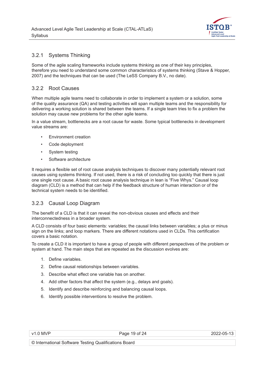

#### <span id="page-18-0"></span>3.2.1 Systems Thinking

Some of the agile scaling frameworks include systems thinking as one of their key principles, therefore you need to understand some common characteristics of systems thinking ([Stave & Hopper,](#page-19-0)  [2007](#page-19-0)) and the techniques that can be used [\(The LeSS Company B.V., no date](#page-19-0)).

#### 3.2.2 Root Causes

When multiple agile teams need to collaborate in order to implement a system or a solution, some of the quality assurance (QA) and testing activities will span multiple teams and the responsibility for delivering a working solution is shared between the teams. If a single team tries to fix a problem the solution may cause new problems for the other agile teams.

In a value stream, bottlenecks are a root cause for waste. Some typical bottlenecks in development value streams are:

- Environment creation
- Code deployment
- System testing
- Software architecture

It requires a flexible set of root cause analysis techniques to discover many potentially relevant root causes using systems thinking. If not used, there is a risk of concluding too quickly that there is just one single root cause. A basic root cause analysis technique in lean is "Five Whys." Causal loop diagram (CLD) is a method that can help if the feedback structure of human interaction or of the technical system needs to be identified.

#### 3.2.3 Causal Loop Diagram

The benefit of a CLD is that it can reveal the non-obvious causes and effects and their interconnectedness in a broader system.

A CLD consists of four basic elements: variables; the causal links between variables; a plus or minus sign on the links; and loop markers. There are different notations used in CLDs. This certification covers a basic notation.

To create a CLD it is important to have a group of people with different perspectives of the problem or system at hand. The main steps that are repeated as the discussion evolves are:

- 1. Define variables.
- 2. Define causal relationships between variables.
- 3. Describe what effect one variable has on another.
- 4. Add other factors that affect the system (e.g., delays and goals).
- 5. Identify and describe reinforcing and balancing causal loops.
- 6. Identify possible interventions to resolve the problem.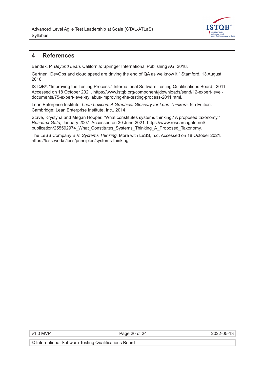

## <span id="page-19-0"></span>**4 References**

Béndek, P. *Beyond Lean.* California: Springer International Publishing AG, 2018.

Gartner. "DevOps and cloud speed are driving the end of QA as we know it." Stamford, 13 August 2018.

ISTQB®. "Improving the Testing Process." International Software Testing Qualifications Board, 2011. Accessed on 18 October 2021. [https://www.istqb.org/component/jdownloads/send/12-expert-level](https://www.istqb.org/component/jdownloads/send/12-expert-level-documents/75-expert-level-syllabus-improving-the-testing-process-2011.html)[documents/75-expert-level-syllabus-improving-the-testing-process-2011.html](https://www.istqb.org/component/jdownloads/send/12-expert-level-documents/75-expert-level-syllabus-improving-the-testing-process-2011.html).

Lean Enterprise Institute. *Lean Lexicon: A Graphical Glossary for Lean Thinkers*. 5th Edition. Cambridge: Lean Enterprise Institute, Inc., 2014.

Stave, Krystyna and Megan Hopper. "What constitutes systems thinking? A proposed taxonomy." *ResearchGate*, January 2007. Accessed on 30 June 2021. [https://www.researchgate.net/](https://www.researchgate.net/ publication/255592974_What_Constitutes_Systems_Thinking_A_Proposed_Taxonomy)  [publication/255592974\\_What\\_Constitutes\\_Systems\\_Thinking\\_A\\_Proposed\\_Taxonomy](https://www.researchgate.net/ publication/255592974_What_Constitutes_Systems_Thinking_A_Proposed_Taxonomy).

The LeSS Company B.V. *Systems Thinking*. More with LeSS, n.d. Accessed on 18 October 2021. <https://less.works/less/principles/systems-thinking>.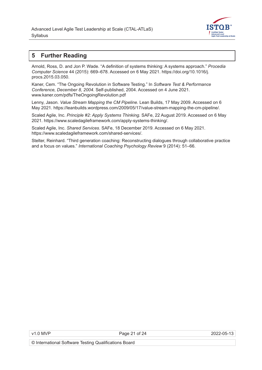

# <span id="page-20-0"></span>**5 Further Reading**

Arnold, Ross, D. and Jon P. Wade. "A definition of systems thinking: A systems approach." *Procedia Computer Science* 44 (2015): 669–678. Accessed on 6 May 2021. https://doi.org/10.1016/j. procs.2015.03.050.

Kaner, Cem. "The Ongoing Revolution in Software Testing." In *Software Test & Performance Conference, December 8, 2004*. Self-published, 2004. Accessed on 4 June 2021. [www.kaner.com/pdfs/TheOngoingRevolution.pdf](http://www.kaner.com/pdfs/TheOngoingRevolution.pdf)

Lenny, Jason. *Value Stream Mapping the CM Pipeline*. Lean Builds, 17 May 2009. Accessed on 6 May 2021. <https://leanbuilds.wordpress.com/2009/05/17/value-stream-mapping-the-cm-pipeline/>.

Scaled Agile, Inc. *Principle #2: Apply Systems Thinking*. SAFe, 22 August 2019. Accessed on 6 May 2021. <https://www.scaledagileframework.com/apply-systems-thinking/>.

Scaled Agile, Inc. *Shared Services*. SAFe, 18 December 2019. Accessed on 6 May 2021. <https://www.scaledagileframework.com/shared-services/>.

Stelter, Reinhard. "Third generation coaching: Reconstructing dialogues through collaborative practice and a focus on values." *International Coaching Psychology Review* 9 (2014): 51–66.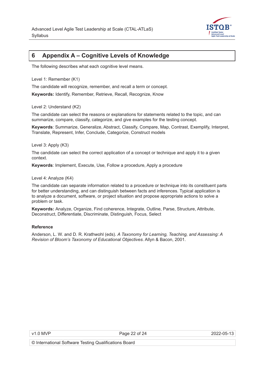

# <span id="page-21-0"></span>**6 Appendix A – Cognitive Levels of Knowledge**

The following describes what each cognitive level means.

Level 1: Remember (K1)

The candidate will recognize, remember, and recall a term or concept.

**Keywords:** Identify, Remember, Retrieve, Recall, Recognize, Know

Level 2: Understand (K2)

The candidate can select the reasons or explanations for statements related to the topic, and can summarize, compare, classify, categorize, and give examples for the testing concept.

**Keywords**: Summarize, Generalize, Abstract, Classify, Compare, Map, Contrast, Exemplify, Interpret, Translate, Represent, Infer, Conclude, Categorize, Construct models

Level 3: Apply (K3)

The candidate can select the correct application of a concept or technique and apply it to a given context.

**Keywords**: Implement, Execute, Use, Follow a procedure, Apply a procedure

Level 4: Analyze (K4)

The candidate can separate information related to a procedure or technique into its constituent parts for better understanding, and can distinguish between facts and inferences. Typical application is to analyze a document, software, or project situation and propose appropriate actions to solve a problem or task.

**Keywords:** Analyze, Organize, Find coherence, Integrate, Outline, Parse, Structure, Attribute, Deconstruct, Differentiate, Discriminate, Distinguish, Focus, Select

#### **Reference**

Anderson, L. W. and D. R. Krathwohl (eds). *A Taxonomy for Learning, Teaching, and Assessing: A Revision of Bloom's Taxonomy of Educational Objectives*. Allyn & Bacon, 2001.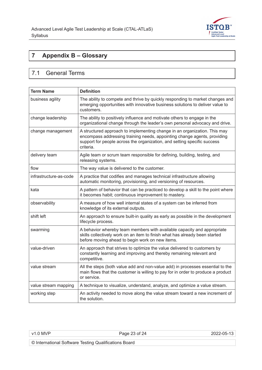

# <span id="page-22-0"></span>**7 Appendix B – Glossary**

# 7.1 General Terms

| <b>Term Name</b>       | <b>Definition</b>                                                                                                                                                                                                                              |
|------------------------|------------------------------------------------------------------------------------------------------------------------------------------------------------------------------------------------------------------------------------------------|
| business agility       | The ability to compete and thrive by quickly responding to market changes and<br>emerging opportunities with innovative business solutions to deliver value to<br>customers.                                                                   |
| change leadership      | The ability to positively influence and motivate others to engage in the<br>organizational change through the leader's own personal advocacy and drive.                                                                                        |
| change management      | A structured approach to implementing change in an organization. This may<br>encompass addressing training needs, appointing change agents, providing<br>support for people across the organization, and setting specific success<br>criteria. |
| delivery team          | Agile team or scrum team responsible for defining, building, testing, and<br>releasing systems.                                                                                                                                                |
| flow                   | The way value is delivered to the customer.                                                                                                                                                                                                    |
| infrastructure-as-code | A practice that codifies and manages technical infrastructure allowing<br>automatic monitoring, provisioning, and versioning of resources.                                                                                                     |
| kata                   | A pattern of behavior that can be practiced to develop a skill to the point where<br>it becomes habit; continuous improvement to mastery.                                                                                                      |
| observability          | A measure of how well internal states of a system can be inferred from<br>knowledge of its external outputs.                                                                                                                                   |
| shift left             | An approach to ensure built-in quality as early as possible in the development<br>lifecycle process.                                                                                                                                           |
| swarming               | A behavior whereby team members with available capacity and appropriate<br>skills collectively work on an item to finish what has already been started<br>before moving ahead to begin work on new items.                                      |
| value-driven           | An approach that strives to optimize the value delivered to customers by<br>constantly learning and improving and thereby remaining relevant and<br>competitive.                                                                               |
| value stream           | All the steps (both value add and non-value add) in processes essential to the<br>main flows that the customer is willing to pay for in order to produce a product<br>or service.                                                              |
| value stream mapping   | A technique to visualize, understand, analyze, and optimize a value stream.                                                                                                                                                                    |
| working step           | An activity needed to move along the value stream toward a new increment of<br>the solution.                                                                                                                                                   |